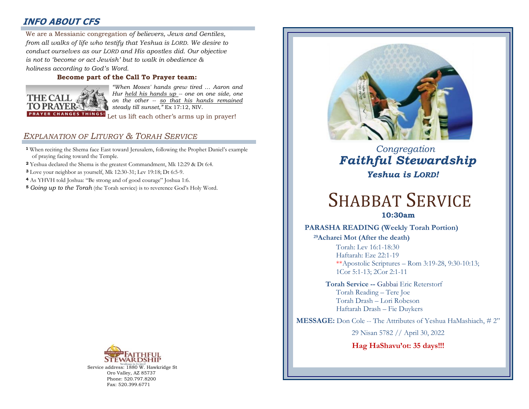# **INFO ABOUT CFS**

: *conduct ourselves as our LORD and His apostles did. Our objective*  We are a Messianic congregation *of believers, Jews and Gentiles, from all walks of life who testify that Yeshua is LORD. We desire to is not to 'become or act Jewish' but to walk in obedience & holiness according to God's Word.* 

## **Become part of the Call To Prayer team:**



*"When Moses' hands grew tired … Aaron and Hur held his hands up -- one on one side, one on the other -- so that his hands remained steady till sunset,"* Ex 17:12, NIV.

Let us lift each other's arms up in prayer!

# *EXPLANATION OF LITURGY & TORAH SERVICE*

- **<sup>1</sup>** When reciting the Shema face East toward Jerusalem, following the Prophet Daniel's example of praying facing toward the Temple.
- **<sup>2</sup>** Yeshua declared the Shema is the greatest Commandment, Mk 12:29 & Dt 6:4.
- **<sup>3</sup>** Love your neighbor as yourself, Mk 12:30-31; Lev 19:18; Dt 6:5-9.
- **<sup>4</sup>** As YHVH told Joshua: "Be strong and of good courage" Joshua 1:6.
- **<sup>5</sup>** *Going up to the Torah* (the Torah service) is to reverence God's Holy Word.



Service address: 1880 W. Hawkridge St Oro Valley, AZ 85737 Phone: 520.797.8200 Fax: 520.399.6771



 *Congregation Faithful Stewardship Yeshua is LORD!*

# SHABBAT SERVICE

**10:30am**

## **PARASHA READING (Weekly Torah Portion)**

**<sup>29</sup>Acharei Mot (After the death)** Torah: Lev 16:1-18:30

Haftarah: Eze 22:1-19 \*\*Apostolic Scriptures – Rom 3:19-28, 9:30-10:13; 1Cor 5:1-13; 2Cor 2:1-11

**Torah Service --** Gabbai Eric Reterstorf Torah Reading – Tere Joe Torah Drash – Lori Robeson Haftarah Drash – Fie Duykers

**MESSAGE:** Don Cole -- The Attributes of Yeshua HaMashiach, # 2"

29 Nisan 5782 // April 30, 2022

**Hag HaShavu'ot: 35 days!!!**